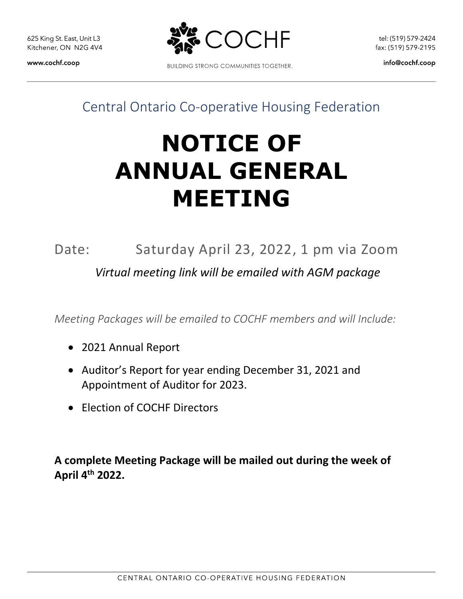

tel: (519) 579-2424 fax: (519) 579-2195

**BUILDING STRONG COMMUNITIES TOGETHER.** 

info@cochf.coop

### Central Ontario Co-operative Housing Federation

# **NOTICE OF ANNUAL GENERAL MEETING**

# Date: Saturday April 23, 2022, 1 pm via Zoom  *Virtual meeting link will be emailed with AGM package*

*Meeting Packages will be emailed to COCHF members and will Include:*

- 2021 Annual Report
- Auditor's Report for year ending December 31, 2021 and Appointment of Auditor for 2023.
- Election of COCHF Directors

**A complete Meeting Package will be mailed out during the week of April 4th 2022.**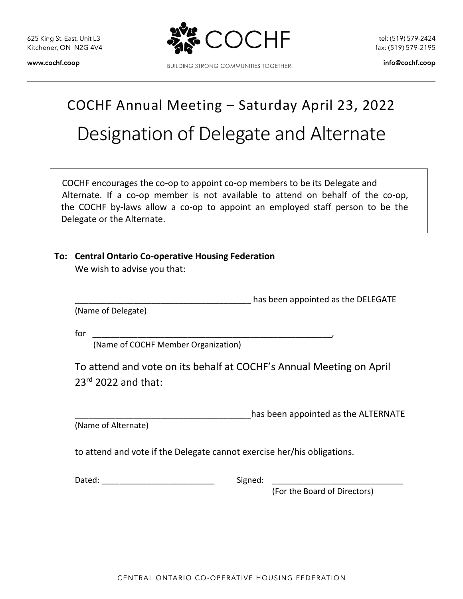

**BUILDING STRONG COMMUNITIES TOGETHER.** 

info@cochf.coop

# COCHF Annual Meeting – Saturday April 23, 2022 Designation of Delegate and Alternate

COCHF encourages the co-op to appoint co-op members to be its Delegate and Alternate. If a co-op member is not available to attend on behalf of the co-op, the COCHF by-laws allow a co-op to appoint an employed staff person to be the Delegate or the Alternate.

#### **To: Central Ontario Co-operative Housing Federation**

We wish to advise you that:

has been appointed as the DELEGATE

(Name of Delegate)

for \_\_\_\_\_\_\_\_\_\_\_\_\_\_\_\_\_\_\_\_\_\_\_\_\_\_\_\_\_\_\_\_\_\_\_\_\_\_\_\_\_\_\_\_\_\_\_\_\_\_\_\_\_,

(Name of COCHF Member Organization)

To attend and vote on its behalf at COCHF's Annual Meeting on April 23rd 2022 and that:

has been appointed as the ALTERNATE

(Name of Alternate)

to attend and vote if the Delegate cannot exercise her/his obligations.

Dated: etc. and the signed:  $\Box$  Signed:  $\Box$ 

(For the Board of Directors)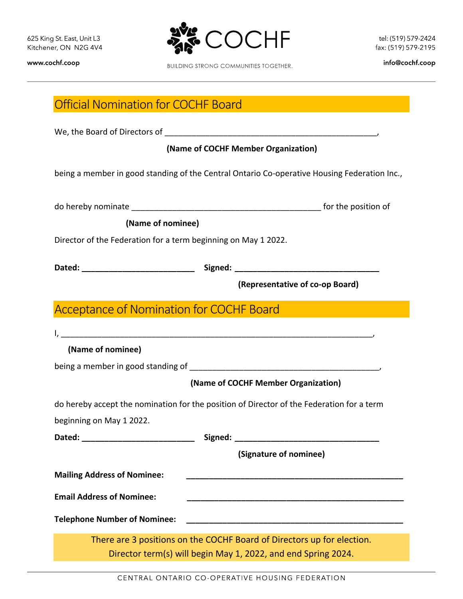625 King St. East, Unit L3 Kitchener, ON N2G 4V4



www.cochf.coop

**BUILDING STRONG COMMUNITIES TOGETHER.** 

info@cochf.coop

|                                                                | (Name of COCHF Member Organization)                                                          |
|----------------------------------------------------------------|----------------------------------------------------------------------------------------------|
|                                                                |                                                                                              |
|                                                                | being a member in good standing of the Central Ontario Co-operative Housing Federation Inc., |
|                                                                |                                                                                              |
|                                                                |                                                                                              |
|                                                                | (Name of nominee)                                                                            |
|                                                                | Director of the Federation for a term beginning on May 1 2022.                               |
|                                                                | Dated: ___________________________________Signed: ______________________________             |
|                                                                | (Representative of co-op Board)                                                              |
|                                                                |                                                                                              |
|                                                                | Acceptance of Nomination for COCHF Board                                                     |
|                                                                |                                                                                              |
|                                                                |                                                                                              |
|                                                                |                                                                                              |
| (Name of nominee)                                              |                                                                                              |
|                                                                |                                                                                              |
|                                                                | (Name of COCHF Member Organization)                                                          |
|                                                                | do hereby accept the nomination for the position of Director of the Federation for a term    |
|                                                                |                                                                                              |
|                                                                |                                                                                              |
|                                                                | Signed:<br>(Signature of nominee)                                                            |
| beginning on May 1 2022.<br><b>Mailing Address of Nominee:</b> |                                                                                              |
|                                                                |                                                                                              |
|                                                                |                                                                                              |
|                                                                | <b>Telephone Number of Nominee:</b>                                                          |
| <b>Email Address of Nominee:</b>                               | There are 3 positions on the COCHF Board of Directors up for election.                       |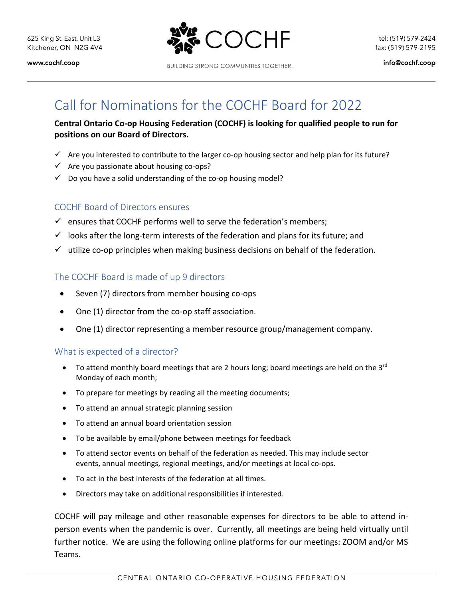

tel: (519) 579-2424 fax: (519) 579-2195

**BUILDING STRONG COMMUNITIES TOGETHER.** 

info@cochf.coop

## Call for Nominations for the COCHF Board for 2022

#### **Central Ontario Co-op Housing Federation (COCHF) is looking for qualified people to run for positions on our Board of Directors.**

- $\checkmark$  Are you interested to contribute to the larger co-op housing sector and help plan for its future?
- $\checkmark$  Are you passionate about housing co-ops?
- $\checkmark$  Do you have a solid understanding of the co-op housing model?

#### COCHF Board of Directors ensures

- $\checkmark$  ensures that COCHF performs well to serve the federation's members;
- $\checkmark$  looks after the long-term interests of the federation and plans for its future; and
- $\checkmark$  utilize co-op principles when making business decisions on behalf of the federation.

#### The COCHF Board is made of up 9 directors

- Seven (7) directors from member housing co-ops
- One (1) director from the co-op staff association.
- One (1) director representing a member resource group/management company.

#### What is expected of a director?

- $\bullet$  To attend monthly board meetings that are 2 hours long; board meetings are held on the 3<sup>rd</sup> Monday of each month;
- To prepare for meetings by reading all the meeting documents;
- To attend an annual strategic planning session
- To attend an annual board orientation session
- To be available by email/phone between meetings for feedback
- To attend sector events on behalf of the federation as needed. This may include sector events, annual meetings, regional meetings, and/or meetings at local co-ops.
- To act in the best interests of the federation at all times.
- Directors may take on additional responsibilities if interested.

COCHF will pay mileage and other reasonable expenses for directors to be able to attend inperson events when the pandemic is over. Currently, all meetings are being held virtually until further notice. We are using the following online platforms for our meetings: ZOOM and/or MS Teams.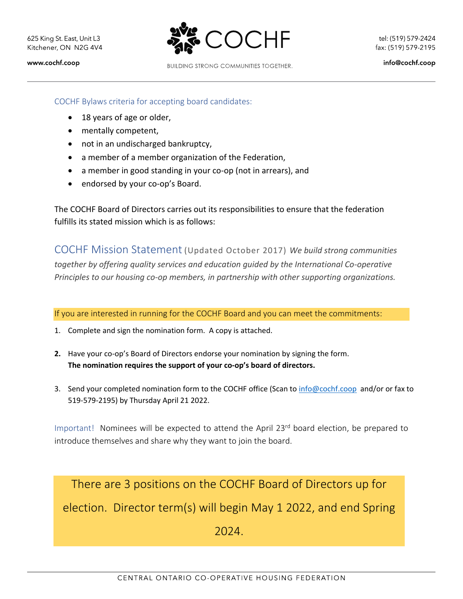625 King St. East, Unit L3 Kitchener, ON N2G 4V4

www.cochf.coop



tel: (519) 579-2424 fax: (519) 579-2195

info@cochf.coop

COCHF Bylaws criteria for accepting board candidates:

- 18 years of age or older,
- mentally competent,
- not in an undischarged bankruptcy,
- a member of a member organization of the Federation,
- a member in good standing in your co-op (not in arrears), and
- endorsed by your co-op's Board.

The COCHF Board of Directors carries out its responsibilities to ensure that the federation fulfills its stated mission which is as follows:

COCHF Mission Statement (Updated October 2017) *We build strong communities together by offering quality services and education guided by the International Co-operative Principles to our housing co-op members, in partnership with other supporting organizations.*

If you are interested in running for the COCHF Board and you can meet the commitments:

- 1. Complete and sign the nomination form. A copy is attached.
- **2.** Have your co-op's Board of Directors endorse your nomination by signing the form. **The nomination requires the support of your co-op's board of directors.**
- 3. Send your completed nomination form to the COCHF office (Scan to [info@cochf.coop](mailto:info@cochf.coop) and/or or fax to 519-579-2195) by Thursday April 21 2022.

Important! Nominees will be expected to attend the April 23<sup>rd</sup> board election, be prepared to introduce themselves and share why they want to join the board.

There are 3 positions on the COCHF Board of Directors up for election. Director term(s) will begin May 1 2022, and end Spring 2024.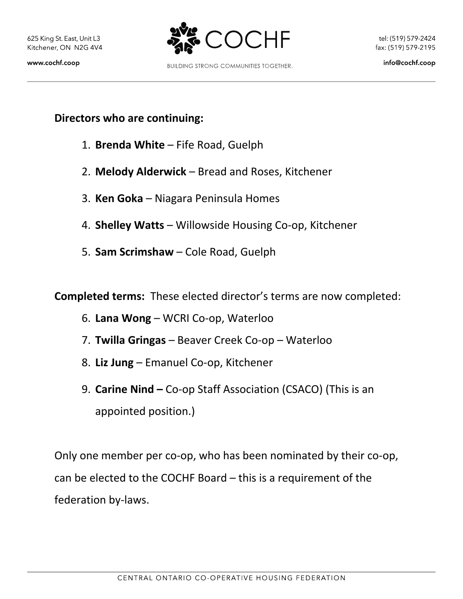

#### **Directors who are continuing:**

- 1. **Brenda White** Fife Road, Guelph
- 2. **Melody Alderwick**  Bread and Roses, Kitchener
- 3. **Ken Goka** Niagara Peninsula Homes
- 4. **Shelley Watts**  Willowside Housing Co-op, Kitchener
- 5. **Sam Scrimshaw**  Cole Road, Guelph

**Completed terms:** These elected director's terms are now completed:

- 6. **Lana Wong**  WCRI Co-op, Waterloo
- 7. **Twilla Gringas** Beaver Creek Co-op Waterloo
- 8. **Liz Jung**  Emanuel Co-op, Kitchener
- 9. **Carine Nind –** Co-op Staff Association (CSACO) (This is an appointed position.)

Only one member per co-op, who has been nominated by their co-op, can be elected to the COCHF Board – this is a requirement of the federation by-laws.